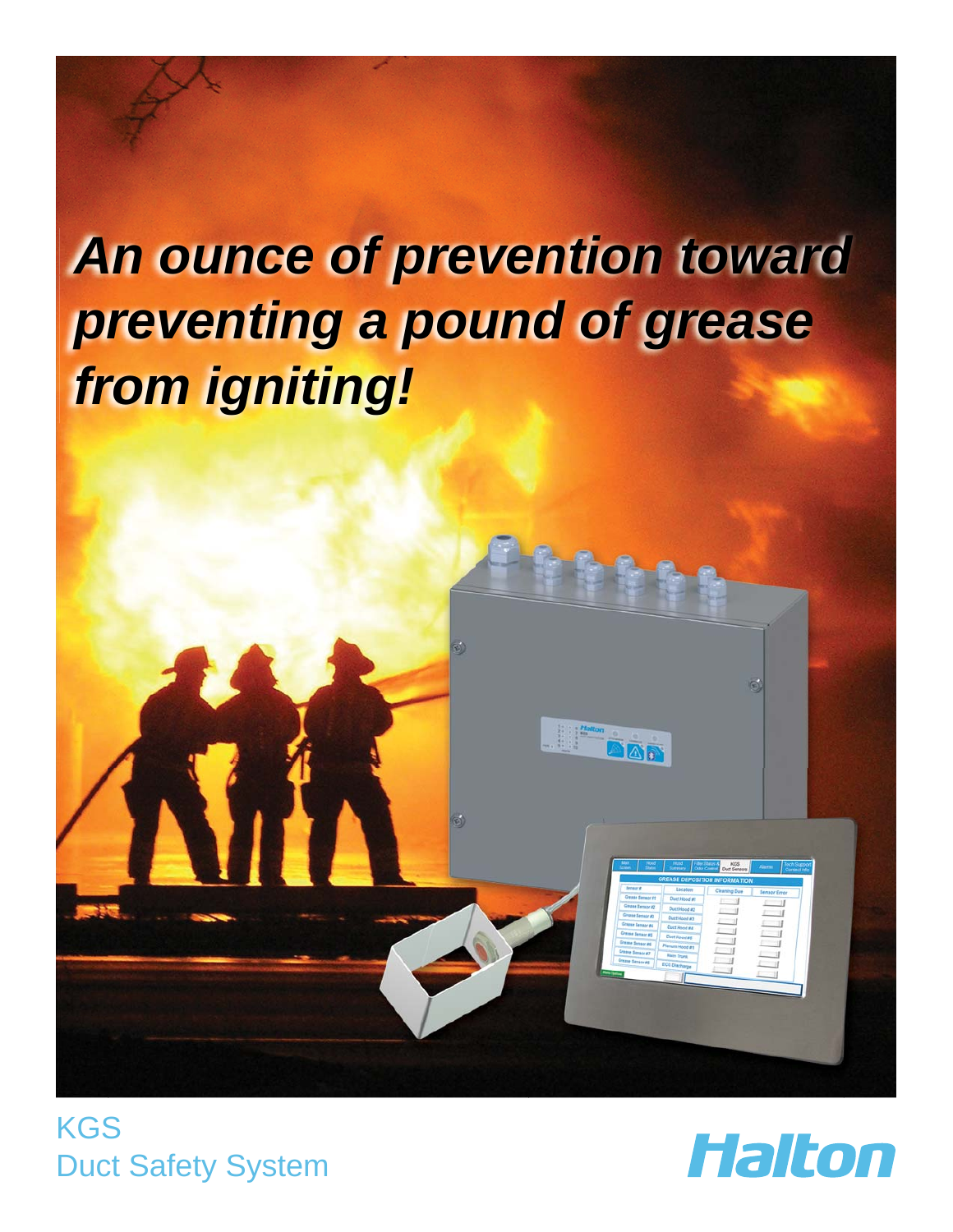# *An ounce of prevention toward preventing a pound of grease from igniting!*



**KGS** Duct Safety System

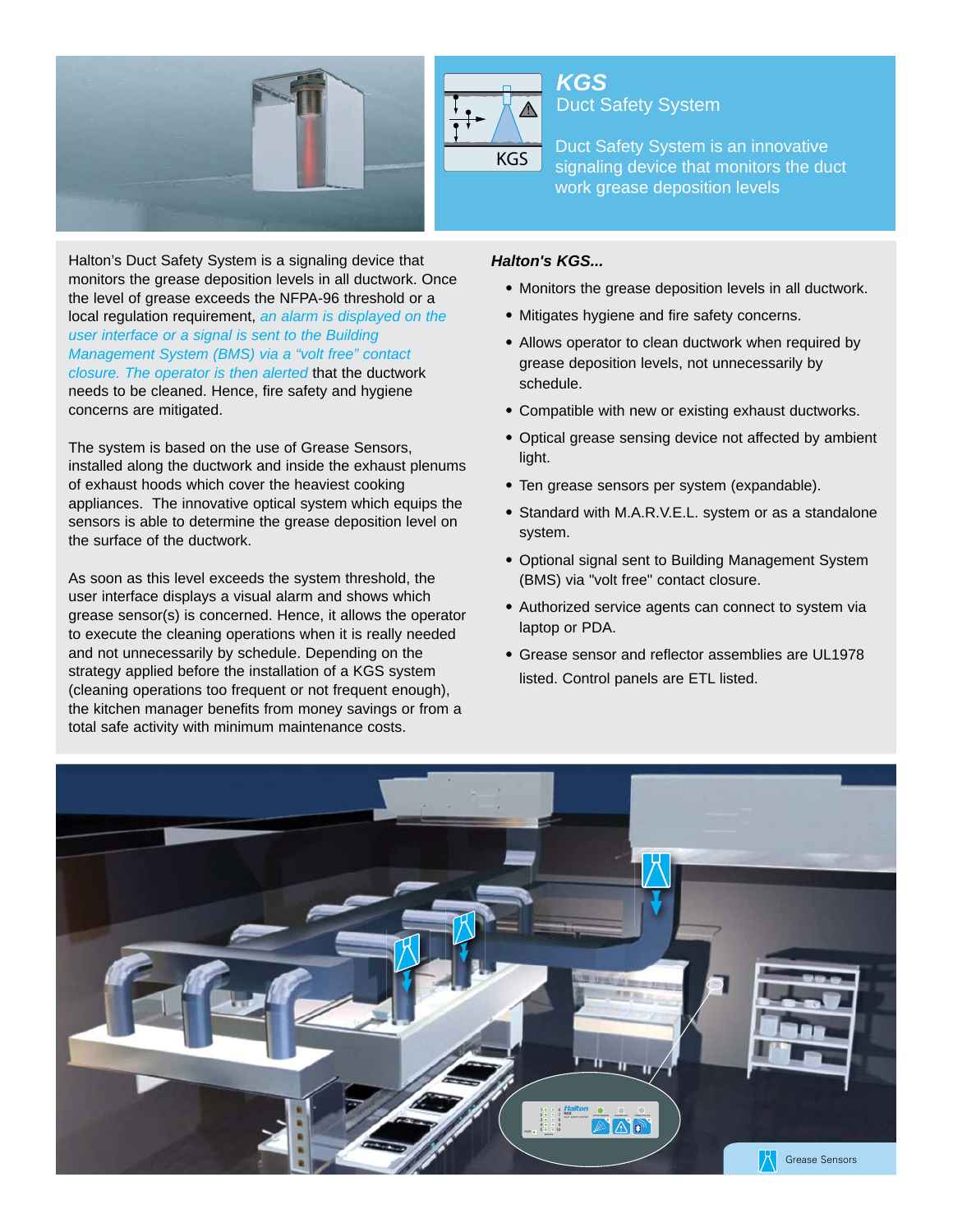

Halton's Duct Safety System is a signaling device that monitors the grease deposition levels in all ductwork. Once the level of grease exceeds the NFPA-96 threshold or a local regulation requirement, *an alarm is displayed on the user interface or a signal is sent to the Building Management System (BMS) via a "volt free" contact closure. The operator is then alerted* that the ductwork needs to be cleaned. Hence, fire safety and hygiene concerns are mitigated.

The system is based on the use of Grease Sensors, installed along the ductwork and inside the exhaust plenums of exhaust hoods which cover the heaviest cooking appliances. The innovative optical system which equips the sensors is able to determine the grease deposition level on the surface of the ductwork.

As soon as this level exceeds the system threshold, the user interface displays a visual alarm and shows which grease sensor(s) is concerned. Hence, it allows the operator to execute the cleaning operations when it is really needed and not unnecessarily by schedule. Depending on the strategy applied before the installation of a KGS system (cleaning operations too frequent or not frequent enough), the kitchen manager benefits from money savings or from a total safe activity with minimum maintenance costs.

#### *Halton's KGS...*

*KGS*

• Monitors the grease deposition levels in all ductwork.

signaling device that monitors the duct

• Mitigates hygiene and fire safety concerns.

**KGS** Duct Safety System is an innovative<br>**KGS** piggoting dovise that manitors the dut

Duct Safety System

work grease deposition levels

- Allows operator to clean ductwork when required by grease deposition levels, not unnecessarily by schedule.
- Compatible with new or existing exhaust ductworks.
- Optical grease sensing device not affected by ambient light.
- Ten grease sensors per system (expandable).
- Standard with M.A.R.V.E.L. system or as a standalone system.
- Optional signal sent to Building Management System (BMS) via "volt free" contact closure.
- Authorized service agents can connect to system via laptop or PDA.
- Grease sensor and reflector assemblies are UL1978 listed. Control panels are ETL listed.

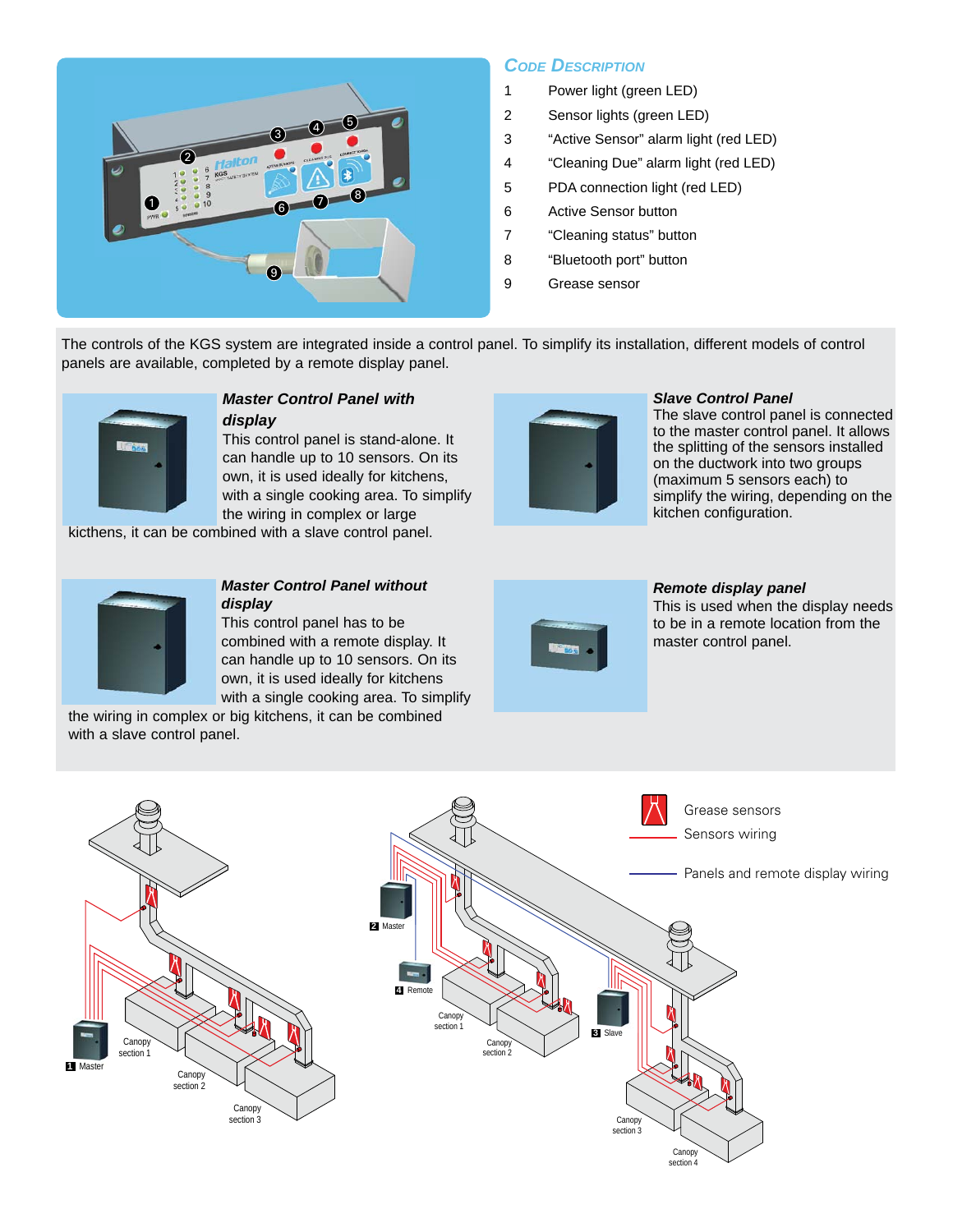

### *CODE DESCRIPTION*

- 1 Power light (green LED)
- 2 Sensor lights (green LED)
- 3 "Active Sensor" alarm light (red LED)
- 4 "Cleaning Due" alarm light (red LED)
- 5 PDA connection light (red LED)
- 6 Active Sensor button
- 7 "Cleaning status" button
- 8 "Bluetooth port" button
- 9 Grease sensor

The controls of the KGS system are integrated inside a control panel. To simplify its installation, different models of control panels are available, completed by a remote display panel.



## *Master Control Panel with*

*display* This control panel is stand-alone. It can handle up to 10 sensors. On its own, it is used ideally for kitchens, with a single cooking area. To simplify the wiring in complex or large kicthens, it can be combined with a slave control panel.



#### *Slave Control Panel*

The slave control panel is connected to the master control panel. It allows the splitting of the sensors installed on the ductwork into two groups (maximum 5 sensors each) to simplify the wiring, depending on the kitchen configuration.

#### *Master Control Panel without display*

This control panel has to be combined with a remote display. It can handle up to 10 sensors. On its own, it is used ideally for kitchens with a single cooking area. To simplify

the wiring in complex or big kitchens, it can be combined with a slave control panel.



#### *Remote display panel*

This is used when the display needs to be in a remote location from the master control panel.